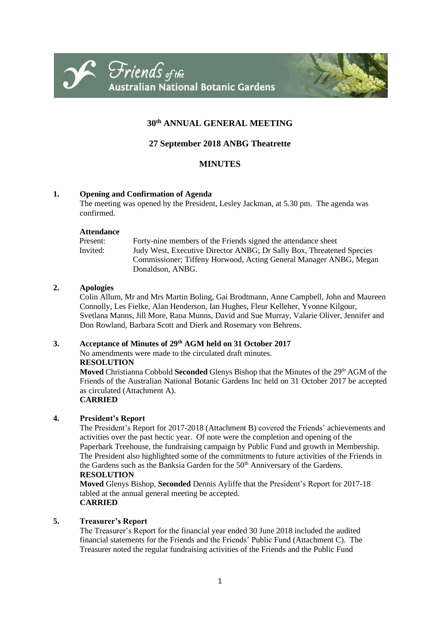



# **30th ANNUAL GENERAL MEETING**

# **27 September 2018 ANBG Theatrette**

# **MINUTES**

# **1. Opening and Confirmation of Agenda**

The meeting was opened by the President, Lesley Jackman, at 5.30 pm. The agenda was confirmed.

#### **Attendance**

| Present: | Forty-nine members of the Friends signed the attendance sheet        |
|----------|----------------------------------------------------------------------|
| Invited: | Judy West, Executive Director ANBG; Dr Sally Box, Threatened Species |
|          | Commissioner; Tiffeny Horwood, Acting General Manager ANBG, Megan    |
|          | Donaldson, ANBG.                                                     |

# **2. Apologies**

Colin Allum, Mr and Mrs Martin Boling, Gai Brodtmann, Anne Campbell, John and Maureen Connolly, Les Fielke, Alan Henderson, Ian Hughes, Fleur Kelleher, Yvonne Kilgour, Svetlana Manns, Jill More, Rana Munns, David and Sue Murray, Valarie Oliver, Jennifer and Don Rowland, Barbara Scott and Dierk and Rosemary von Behrens.

# **3. Acceptance of Minutes of 29 th AGM held on 31 October 2017**

No amendments were made to the circulated draft minutes.

# **RESOLUTION**

Moved Christianna Cobbold Seconded Glenys Bishop that the Minutes of the 29<sup>th</sup> AGM of the Friends of the Australian National Botanic Gardens Inc held on 31 October 2017 be accepted as circulated (Attachment A).

# **CARRIED**

# **4. President's Report**

The President's Report for 2017-2018 (Attachment B) covered the Friends' achievements and activities over the past hectic year. Of note were the completion and opening of the Paperbark Treehouse, the fundraising campaign by Public Fund and growth in Membership. The President also highlighted some of the commitments to future activities of the Friends in the Gardens such as the Banksia Garden for the 50<sup>th</sup> Anniversary of the Gardens. **RESOLUTION**

**Moved** Glenys Bishop, **Seconded** Dennis Ayliffe that the President's Report for 2017-18 tabled at the annual general meeting be accepted. **CARRIED**

# **5. Treasurer's Report**

The Treasurer's Report for the financial year ended 30 June 2018 included the audited financial statements for the Friends and the Friends' Public Fund (Attachment C). The Treasurer noted the regular fundraising activities of the Friends and the Public Fund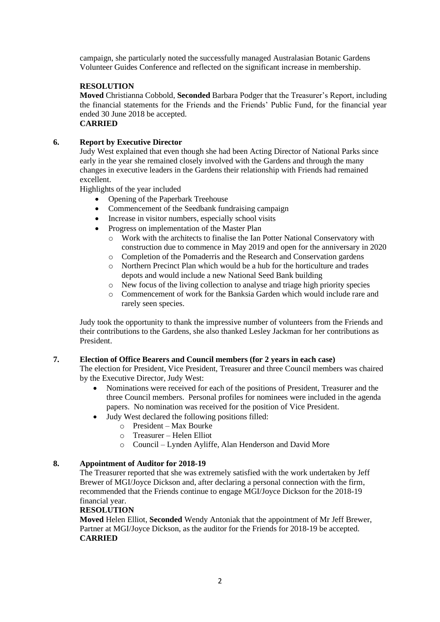campaign, she particularly noted the successfully managed Australasian Botanic Gardens Volunteer Guides Conference and reflected on the significant increase in membership.

# **RESOLUTION**

**Moved** Christianna Cobbold, **Seconded** Barbara Podger that the Treasurer's Report, including the financial statements for the Friends and the Friends' Public Fund, for the financial year ended 30 June 2018 be accepted. **CARRIED**

# **6. Report by Executive Director**

Judy West explained that even though she had been Acting Director of National Parks since early in the year she remained closely involved with the Gardens and through the many changes in executive leaders in the Gardens their relationship with Friends had remained excellent.

Highlights of the year included

- Opening of the Paperbark Treehouse
- Commencement of the Seedbank fundraising campaign
- Increase in visitor numbers, especially school visits
- Progress on implementation of the Master Plan
	- o Work with the architects to finalise the Ian Potter National Conservatory with construction due to commence in May 2019 and open for the anniversary in 2020
	- o Completion of the Pomaderris and the Research and Conservation gardens
	- o Northern Precinct Plan which would be a hub for the horticulture and trades depots and would include a new National Seed Bank building
	- o New focus of the living collection to analyse and triage high priority species
	- o Commencement of work for the Banksia Garden which would include rare and rarely seen species.

Judy took the opportunity to thank the impressive number of volunteers from the Friends and their contributions to the Gardens, she also thanked Lesley Jackman for her contributions as President.

# **7. Election of Office Bearers and Council members (for 2 years in each case)**

The election for President, Vice President, Treasurer and three Council members was chaired by the Executive Director, Judy West:

- Nominations were received for each of the positions of President, Treasurer and the three Council members. Personal profiles for nominees were included in the agenda papers. No nomination was received for the position of Vice President.
- Judy West declared the following positions filled:
	- $\circ$  President Max Bourke
	- o Treasurer Helen Elliot
	- o Council Lynden Ayliffe, Alan Henderson and David More

# **8. Appointment of Auditor for 2018-19**

The Treasurer reported that she was extremely satisfied with the work undertaken by Jeff Brewer of MGI/Joyce Dickson and, after declaring a personal connection with the firm, recommended that the Friends continue to engage MGI/Joyce Dickson for the 2018-19 financial year.

# **RESOLUTION**

**Moved** Helen Elliot, **Seconded** Wendy Antoniak that the appointment of Mr Jeff Brewer, Partner at MGI/Joyce Dickson, as the auditor for the Friends for 2018-19 be accepted. **CARRIED**